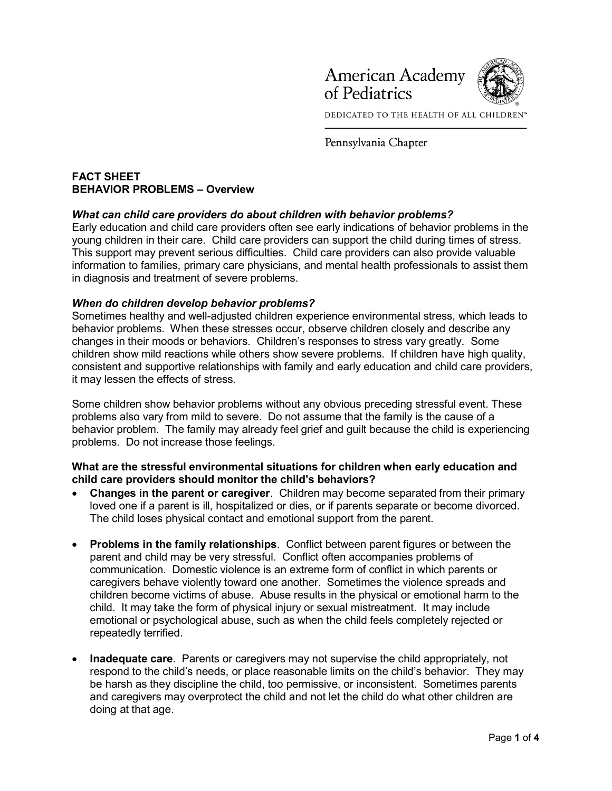

DEDICATED TO THE HEALTH OF ALL CHILDREN™

Pennsylvania Chapter

# FACT SHEET BEHAVIOR PROBLEMS – Overview

## What can child care providers do about children with behavior problems?

Early education and child care providers often see early indications of behavior problems in the young children in their care. Child care providers can support the child during times of stress. This support may prevent serious difficulties. Child care providers can also provide valuable information to families, primary care physicians, and mental health professionals to assist them in diagnosis and treatment of severe problems.

#### When do children develop behavior problems?

Sometimes healthy and well-adjusted children experience environmental stress, which leads to behavior problems. When these stresses occur, observe children closely and describe any changes in their moods or behaviors. Children's responses to stress vary greatly. Some children show mild reactions while others show severe problems. If children have high quality, consistent and supportive relationships with family and early education and child care providers, it may lessen the effects of stress.

Some children show behavior problems without any obvious preceding stressful event. These problems also vary from mild to severe. Do not assume that the family is the cause of a behavior problem. The family may already feel grief and guilt because the child is experiencing problems. Do not increase those feelings.

#### What are the stressful environmental situations for children when early education and child care providers should monitor the child's behaviors?

- Changes in the parent or caregiver. Children may become separated from their primary loved one if a parent is ill, hospitalized or dies, or if parents separate or become divorced. The child loses physical contact and emotional support from the parent.
- Problems in the family relationships. Conflict between parent figures or between the parent and child may be very stressful. Conflict often accompanies problems of communication. Domestic violence is an extreme form of conflict in which parents or caregivers behave violently toward one another. Sometimes the violence spreads and children become victims of abuse. Abuse results in the physical or emotional harm to the child. It may take the form of physical injury or sexual mistreatment. It may include emotional or psychological abuse, such as when the child feels completely rejected or repeatedly terrified.
- Inadequate care. Parents or caregivers may not supervise the child appropriately, not respond to the child's needs, or place reasonable limits on the child's behavior. They may be harsh as they discipline the child, too permissive, or inconsistent. Sometimes parents and caregivers may overprotect the child and not let the child do what other children are doing at that age.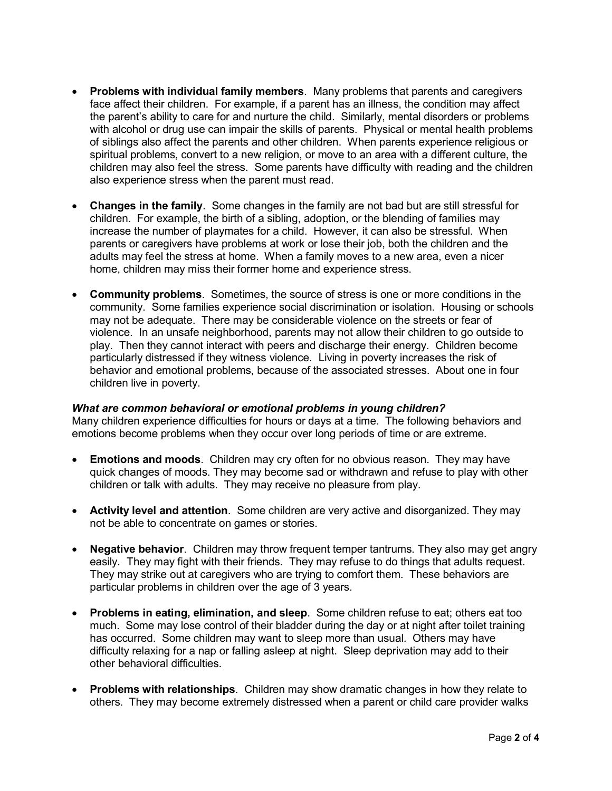- Problems with individual family members. Many problems that parents and caregivers face affect their children. For example, if a parent has an illness, the condition may affect the parent's ability to care for and nurture the child. Similarly, mental disorders or problems with alcohol or drug use can impair the skills of parents. Physical or mental health problems of siblings also affect the parents and other children. When parents experience religious or spiritual problems, convert to a new religion, or move to an area with a different culture, the children may also feel the stress. Some parents have difficulty with reading and the children also experience stress when the parent must read.
- Changes in the family. Some changes in the family are not bad but are still stressful for children. For example, the birth of a sibling, adoption, or the blending of families may increase the number of playmates for a child. However, it can also be stressful. When parents or caregivers have problems at work or lose their job, both the children and the adults may feel the stress at home. When a family moves to a new area, even a nicer home, children may miss their former home and experience stress.
- Community problems. Sometimes, the source of stress is one or more conditions in the community. Some families experience social discrimination or isolation. Housing or schools may not be adequate. There may be considerable violence on the streets or fear of violence. In an unsafe neighborhood, parents may not allow their children to go outside to play. Then they cannot interact with peers and discharge their energy. Children become particularly distressed if they witness violence. Living in poverty increases the risk of behavior and emotional problems, because of the associated stresses. About one in four children live in poverty.

#### What are common behavioral or emotional problems in young children?

Many children experience difficulties for hours or days at a time. The following behaviors and emotions become problems when they occur over long periods of time or are extreme.

- Emotions and moods. Children may cry often for no obvious reason. They may have quick changes of moods. They may become sad or withdrawn and refuse to play with other children or talk with adults. They may receive no pleasure from play.
- Activity level and attention. Some children are very active and disorganized. They may not be able to concentrate on games or stories.
- Negative behavior. Children may throw frequent temper tantrums. They also may get angry easily. They may fight with their friends. They may refuse to do things that adults request. They may strike out at caregivers who are trying to comfort them. These behaviors are particular problems in children over the age of 3 years.
- Problems in eating, elimination, and sleep. Some children refuse to eat; others eat too much. Some may lose control of their bladder during the day or at night after toilet training has occurred. Some children may want to sleep more than usual. Others may have difficulty relaxing for a nap or falling asleep at night. Sleep deprivation may add to their other behavioral difficulties.
- Problems with relationships. Children may show dramatic changes in how they relate to others. They may become extremely distressed when a parent or child care provider walks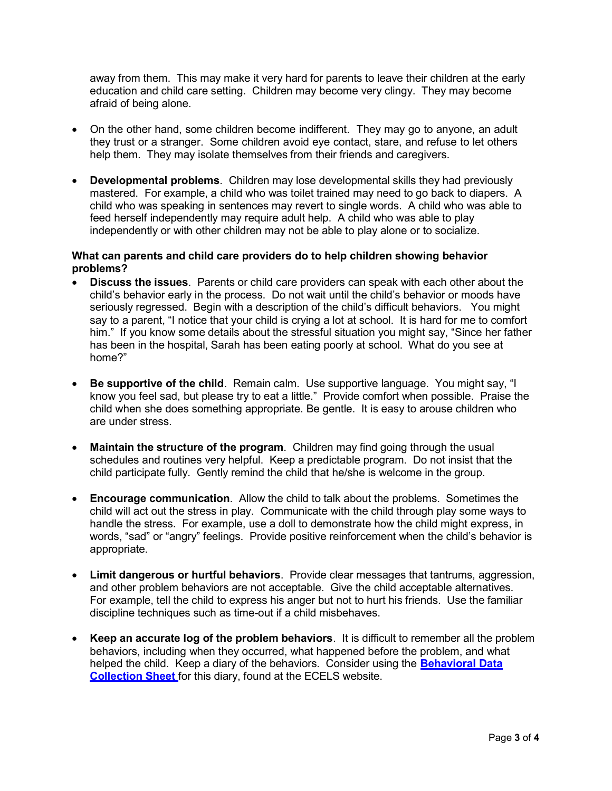away from them. This may make it very hard for parents to leave their children at the early education and child care setting. Children may become very clingy. They may become afraid of being alone.

- On the other hand, some children become indifferent. They may go to anyone, an adult they trust or a stranger. Some children avoid eye contact, stare, and refuse to let others help them. They may isolate themselves from their friends and caregivers.
- Developmental problems. Children may lose developmental skills they had previously mastered. For example, a child who was toilet trained may need to go back to diapers. A child who was speaking in sentences may revert to single words. A child who was able to feed herself independently may require adult help. A child who was able to play independently or with other children may not be able to play alone or to socialize.

### What can parents and child care providers do to help children showing behavior problems?

- Discuss the issues. Parents or child care providers can speak with each other about the child's behavior early in the process. Do not wait until the child's behavior or moods have seriously regressed. Begin with a description of the child's difficult behaviors. You might say to a parent, "I notice that your child is crying a lot at school. It is hard for me to comfort him." If you know some details about the stressful situation you might say, "Since her father has been in the hospital, Sarah has been eating poorly at school. What do you see at home?"
- Be supportive of the child. Remain calm. Use supportive language. You might say, "I know you feel sad, but please try to eat a little." Provide comfort when possible. Praise the child when she does something appropriate. Be gentle. It is easy to arouse children who are under stress.
- Maintain the structure of the program. Children may find going through the usual schedules and routines very helpful. Keep a predictable program. Do not insist that the child participate fully. Gently remind the child that he/she is welcome in the group.
- Encourage communication. Allow the child to talk about the problems. Sometimes the child will act out the stress in play. Communicate with the child through play some ways to handle the stress. For example, use a doll to demonstrate how the child might express, in words, "sad" or "angry" feelings. Provide positive reinforcement when the child's behavior is appropriate.
- Limit dangerous or hurtful behaviors. Provide clear messages that tantrums, aggression, and other problem behaviors are not acceptable. Give the child acceptable alternatives. For example, tell the child to express his anger but not to hurt his friends. Use the familiar discipline techniques such as time-out if a child misbehaves.
- Keep an accurate log of the problem behaviors. It is difficult to remember all the problem behaviors, including when they occurred, what happened before the problem, and what helped the child. Keep a diary of the behaviors. Consider using the **Behavioral Data Collection Sheet** for this diary, found at the ECELS website.